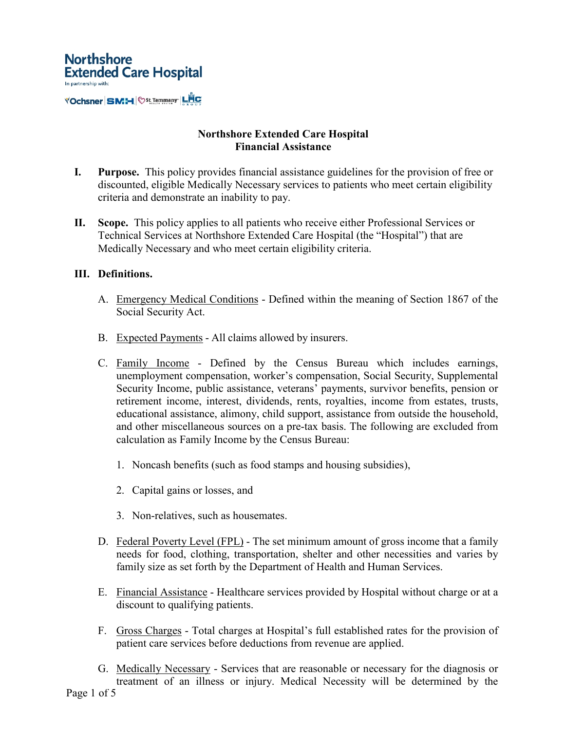

# **Northshore Extended Care Hospital Financial Assistance**

- **I. Purpose.** This policy provides financial assistance guidelines for the provision of free or discounted, eligible Medically Necessary services to patients who meet certain eligibility criteria and demonstrate an inability to pay.
- **II. Scope.** This policy applies to all patients who receive either Professional Services or Technical Services at Northshore Extended Care Hospital (the "Hospital") that are Medically Necessary and who meet certain eligibility criteria.

# **III. Definitions.**

- A. Emergency Medical Conditions Defined within the meaning of Section 1867 of the Social Security Act.
- B. Expected Payments All claims allowed by insurers.
- C. Family Income Defined by the Census Bureau which includes earnings, unemployment compensation, worker's compensation, Social Security, Supplemental Security Income, public assistance, veterans' payments, survivor benefits, pension or retirement income, interest, dividends, rents, royalties, income from estates, trusts, educational assistance, alimony, child support, assistance from outside the household, and other miscellaneous sources on a pre-tax basis. The following are excluded from calculation as Family Income by the Census Bureau:
	- 1. Noncash benefits (such as food stamps and housing subsidies),
	- 2. Capital gains or losses, and
	- 3. Non-relatives, such as housemates.
- D. Federal Poverty Level (FPL) The set minimum amount of gross income that a family needs for food, clothing, transportation, shelter and other necessities and varies by family size as set forth by the Department of Health and Human Services.
- E. Financial Assistance Healthcare services provided by Hospital without charge or at a discount to qualifying patients.
- F. Gross Charges Total charges at Hospital's full established rates for the provision of patient care services before deductions from revenue are applied.
- G. Medically Necessary Services that are reasonable or necessary for the diagnosis or treatment of an illness or injury. Medical Necessity will be determined by the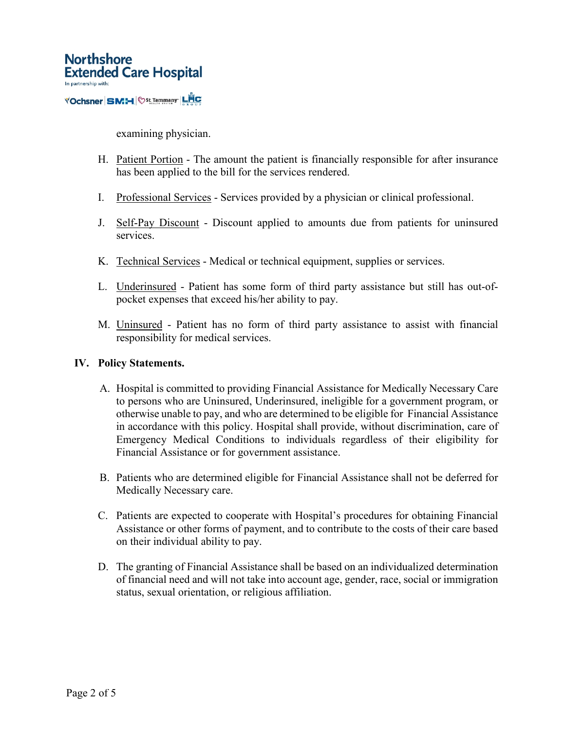

examining physician.

- H. Patient Portion The amount the patient is financially responsible for after insurance has been applied to the bill for the services rendered.
- I. Professional Services Services provided by a physician or clinical professional.
- J. Self-Pay Discount Discount applied to amounts due from patients for uninsured services.
- K. Technical Services Medical or technical equipment, supplies or services.
- L. Underinsured Patient has some form of third party assistance but still has out-ofpocket expenses that exceed his/her ability to pay.
- M. Uninsured Patient has no form of third party assistance to assist with financial responsibility for medical services.

### **IV. Policy Statements.**

- A. Hospital is committed to providing Financial Assistance for Medically Necessary Care to persons who are Uninsured, Underinsured, ineligible for a government program, or otherwise unable to pay, and who are determined to be eligible for Financial Assistance in accordance with this policy. Hospital shall provide, without discrimination, care of Emergency Medical Conditions to individuals regardless of their eligibility for Financial Assistance or for government assistance.
- B. Patients who are determined eligible for Financial Assistance shall not be deferred for Medically Necessary care.
- C. Patients are expected to cooperate with Hospital's procedures for obtaining Financial Assistance or other forms of payment, and to contribute to the costs of their care based on their individual ability to pay.
- D. The granting of Financial Assistance shall be based on an individualized determination of financial need and will not take into account age, gender, race, social or immigration status, sexual orientation, or religious affiliation.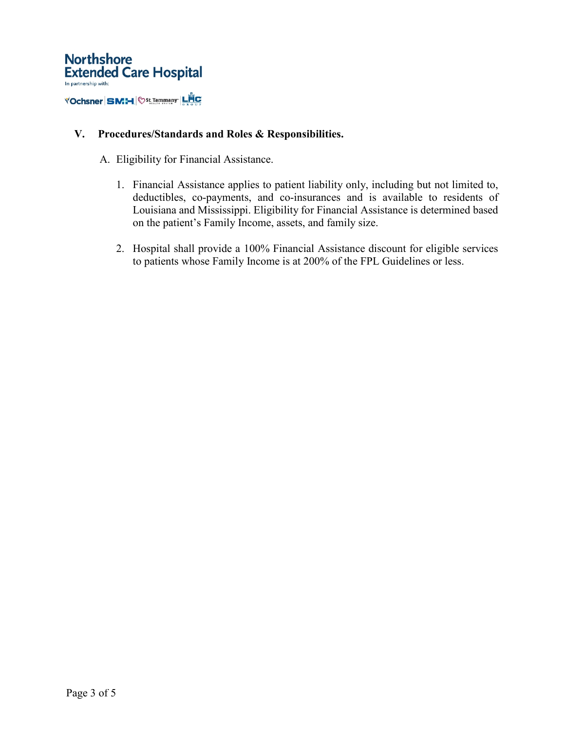

# **V. Procedures/Standards and Roles & Responsibilities.**

- A. Eligibility for Financial Assistance.
	- 1. Financial Assistance applies to patient liability only, including but not limited to, deductibles, co-payments, and co-insurances and is available to residents of Louisiana and Mississippi. Eligibility for Financial Assistance is determined based on the patient's Family Income, assets, and family size.
	- 2. Hospital shall provide a 100% Financial Assistance discount for eligible services to patients whose Family Income is at 200% of the FPL Guidelines or less.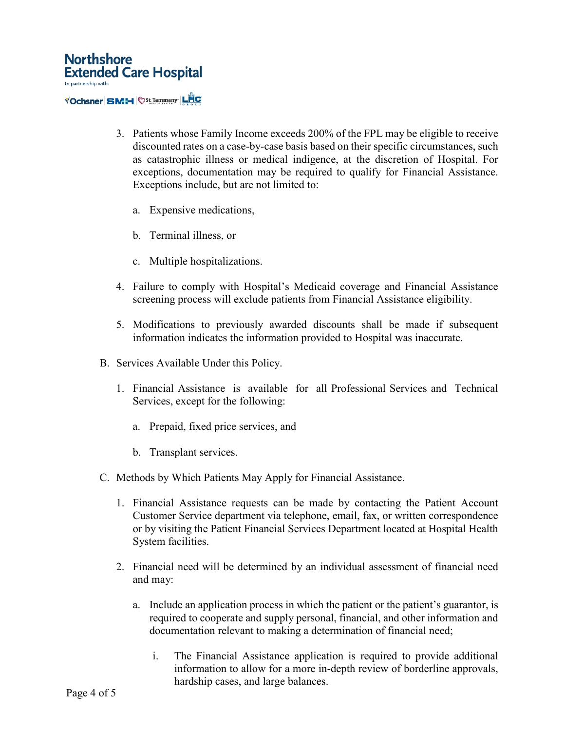- 3. Patients whose Family Income exceeds 200% of the FPL may be eligible to receive discounted rates on a case-by-case basis based on their specific circumstances, such as catastrophic illness or medical indigence, at the discretion of Hospital. For exceptions, documentation may be required to qualify for Financial Assistance. Exceptions include, but are not limited to:
	- a. Expensive medications,
	- b. Terminal illness, or
	- c. Multiple hospitalizations.
- 4. Failure to comply with Hospital's Medicaid coverage and Financial Assistance screening process will exclude patients from Financial Assistance eligibility.
- 5. Modifications to previously awarded discounts shall be made if subsequent information indicates the information provided to Hospital was inaccurate.
- B. Services Available Under this Policy.
	- 1. Financial Assistance is available for all Professional Services and Technical Services, except for the following:
		- a. Prepaid, fixed price services, and
		- b. Transplant services.
- C. Methods by Which Patients May Apply for Financial Assistance.
	- 1. Financial Assistance requests can be made by contacting the Patient Account Customer Service department via telephone, email, fax, or written correspondence or by visiting the Patient Financial Services Department located at Hospital Health System facilities.
	- 2. Financial need will be determined by an individual assessment of financial need and may:
		- a. Include an application process in which the patient or the patient's guarantor, is required to cooperate and supply personal, financial, and other information and documentation relevant to making a determination of financial need;
			- i. The Financial Assistance application is required to provide additional information to allow for a more in-depth review of borderline approvals, hardship cases, and large balances.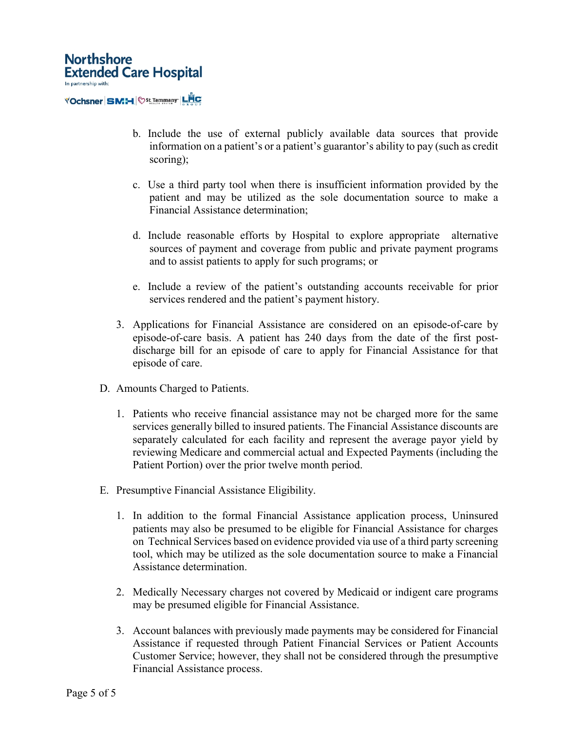

- b. Include the use of external publicly available data sources that provide information on a patient's or a patient's guarantor's ability to pay (such as credit scoring);
- c. Use a third party tool when there is insufficient information provided by the patient and may be utilized as the sole documentation source to make a Financial Assistance determination;
- d. Include reasonable efforts by Hospital to explore appropriate alternative sources of payment and coverage from public and private payment programs and to assist patients to apply for such programs; or
- e. Include a review of the patient's outstanding accounts receivable for prior services rendered and the patient's payment history.
- 3. Applications for Financial Assistance are considered on an episode-of-care by episode-of-care basis. A patient has 240 days from the date of the first postdischarge bill for an episode of care to apply for Financial Assistance for that episode of care.
- D. Amounts Charged to Patients.
	- 1. Patients who receive financial assistance may not be charged more for the same services generally billed to insured patients. The Financial Assistance discounts are separately calculated for each facility and represent the average payor yield by reviewing Medicare and commercial actual and Expected Payments (including the Patient Portion) over the prior twelve month period.
- E. Presumptive Financial Assistance Eligibility.
	- 1. In addition to the formal Financial Assistance application process, Uninsured patients may also be presumed to be eligible for Financial Assistance for charges on Technical Services based on evidence provided via use of a third party screening tool, which may be utilized as the sole documentation source to make a Financial Assistance determination.
	- 2. Medically Necessary charges not covered by Medicaid or indigent care programs may be presumed eligible for Financial Assistance.
	- 3. Account balances with previously made payments may be considered for Financial Assistance if requested through Patient Financial Services or Patient Accounts Customer Service; however, they shall not be considered through the presumptive Financial Assistance process.